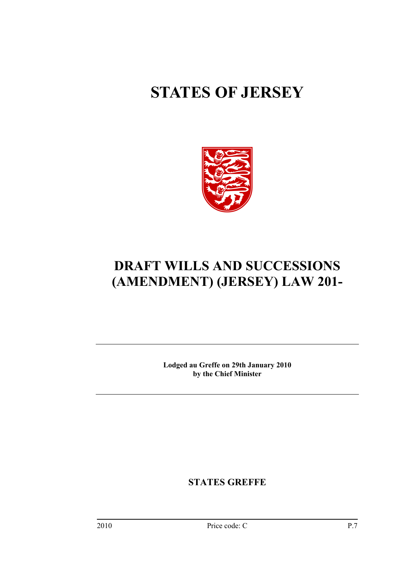# **STATES OF JERSEY**



# **DRAFT WILLS AND SUCCESSIONS (AMENDMENT) (JERSEY) LAW 201-**

**Lodged au Greffe on 29th January 2010 by the Chief Minister** 

**STATES GREFFE**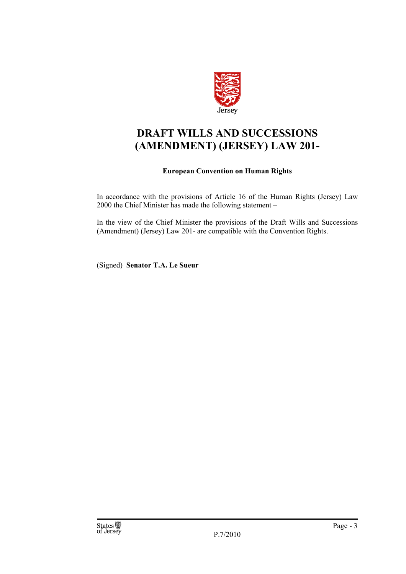

## **DRAFT WILLS AND SUCCESSIONS (AMENDMENT) (JERSEY) LAW 201-**

### **European Convention on Human Rights**

In accordance with the provisions of Article 16 of the Human Rights (Jersey) Law 2000 the Chief Minister has made the following statement –

In the view of the Chief Minister the provisions of the Draft Wills and Successions (Amendment) (Jersey) Law 201- are compatible with the Convention Rights.

(Signed) **Senator T.A. Le Sueur**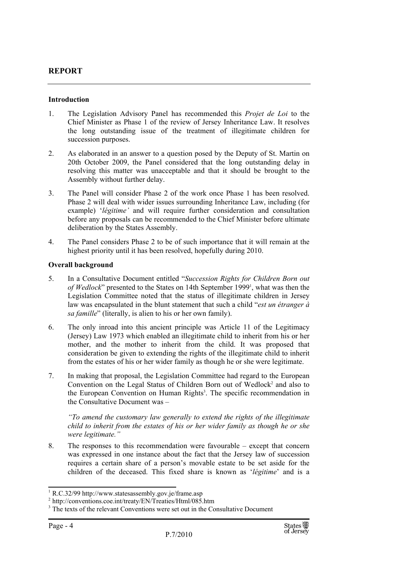### **REPORT**

### **Introduction**

- 1. The Legislation Advisory Panel has recommended this *Projet de Loi* to the Chief Minister as Phase 1 of the review of Jersey Inheritance Law. It resolves the long outstanding issue of the treatment of illegitimate children for succession purposes.
- 2. As elaborated in an answer to a question posed by the Deputy of St. Martin on 20th October 2009, the Panel considered that the long outstanding delay in resolving this matter was unacceptable and that it should be brought to the Assembly without further delay.
- 3. The Panel will consider Phase 2 of the work once Phase 1 has been resolved. Phase 2 will deal with wider issues surrounding Inheritance Law, including (for example) '*légitime'* and will require further consideration and consultation before any proposals can be recommended to the Chief Minister before ultimate deliberation by the States Assembly.
- 4. The Panel considers Phase 2 to be of such importance that it will remain at the highest priority until it has been resolved, hopefully during 2010.

### **Overall background**

- 5. In a Consultative Document entitled "*Succession Rights for Children Born out*  of Wedlock" presented to the States on 14th September 1999<sup>1</sup>, what was then the Legislation Committee noted that the status of illegitimate children in Jersey law was encapsulated in the blunt statement that such a child "*est un étranger à sa famille*" (literally, is alien to his or her own family).
- 6. The only inroad into this ancient principle was Article 11 of the Legitimacy (Jersey) Law 1973 which enabled an illegitimate child to inherit from his or her mother, and the mother to inherit from the child. It was proposed that consideration be given to extending the rights of the illegitimate child to inherit from the estates of his or her wider family as though he or she were legitimate.
- 7. In making that proposal, the Legislation Committee had regard to the European Convention on the Legal Status of Children Born out of Wedlock<sup>2</sup> and also to the European Convention on Human Rights<sup>3</sup>. The specific recommendation in the Consultative Document was –

*"To amend the customary law generally to extend the rights of the illegitimate child to inherit from the estates of his or her wider family as though he or she were legitimate."* 

8. The responses to this recommendation were favourable – except that concern was expressed in one instance about the fact that the Jersey law of succession requires a certain share of a person's movable estate to be set aside for the children of the deceased. This fixed share is known as '*légitime*' and is a

<sup>&</sup>lt;sup>1</sup> R.C.32/99 http://www.statesassembly.gov.je/frame.asp<br> $^2$  http://conventions.coe.int/treaty/EN/Treaties/Html/085.htm

 $3$  The texts of the relevant Conventions were set out in the Consultative Document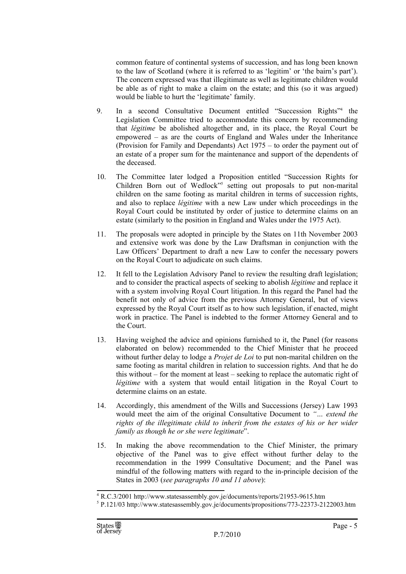common feature of continental systems of succession, and has long been known to the law of Scotland (where it is referred to as 'legitim' or 'the bairn's part'). The concern expressed was that illegitimate as well as legitimate children would be able as of right to make a claim on the estate; and this (so it was argued) would be liable to hurt the 'legitimate' family.

- 9. In a second Consultative Document entitled "Succession Rights"4 the Legislation Committee tried to accommodate this concern by recommending that *légitime* be abolished altogether and, in its place, the Royal Court be empowered – as are the courts of England and Wales under the Inheritance (Provision for Family and Dependants) Act 1975 – to order the payment out of an estate of a proper sum for the maintenance and support of the dependents of the deceased.
- 10. The Committee later lodged a Proposition entitled "Succession Rights for Children Born out of Wedlock<sup>15</sup> setting out proposals to put non-marital children on the same footing as marital children in terms of succession rights, and also to replace *légitime* with a new Law under which proceedings in the Royal Court could be instituted by order of justice to determine claims on an estate (similarly to the position in England and Wales under the 1975 Act).
- 11. The proposals were adopted in principle by the States on 11th November 2003 and extensive work was done by the Law Draftsman in conjunction with the Law Officers' Department to draft a new Law to confer the necessary powers on the Royal Court to adjudicate on such claims.
- 12. It fell to the Legislation Advisory Panel to review the resulting draft legislation; and to consider the practical aspects of seeking to abolish *légitime* and replace it with a system involving Royal Court litigation. In this regard the Panel had the benefit not only of advice from the previous Attorney General, but of views expressed by the Royal Court itself as to how such legislation, if enacted, might work in practice. The Panel is indebted to the former Attorney General and to the Court.
- 13. Having weighed the advice and opinions furnished to it, the Panel (for reasons elaborated on below) recommended to the Chief Minister that he proceed without further delay to lodge a *Projet de Loi* to put non-marital children on the same footing as marital children in relation to succession rights. And that he do this without – for the moment at least – seeking to replace the automatic right of *légitime* with a system that would entail litigation in the Royal Court to determine claims on an estate.
- 14. Accordingly, this amendment of the Wills and Successions (Jersey) Law 1993 would meet the aim of the original Consultative Document to *"… extend the*  rights of the *illegitimate child to inherit from the estates of his or her wider family as though he or she were legitimate*".
- 15. In making the above recommendation to the Chief Minister, the primary objective of the Panel was to give effect without further delay to the recommendation in the 1999 Consultative Document; and the Panel was mindful of the following matters with regard to the in-principle decision of the States in 2003 (*see paragraphs 10 and 11 above*):

<sup>4</sup> R.C.3/2001 http://www.statesassembly.gov.je/documents/reports/21953-9615.htm

<sup>5</sup> P.121/03 http://www.statesassembly.gov.je/documents/propositions/773-22373-2122003.htm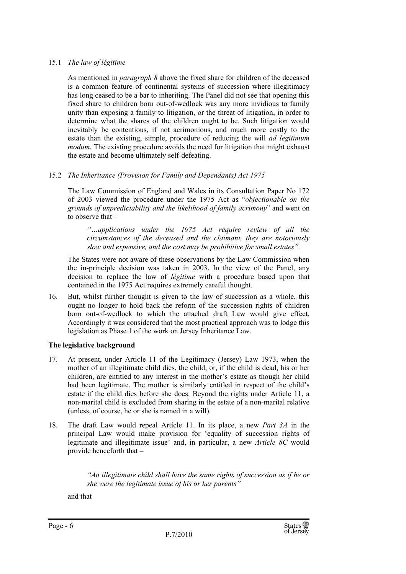### 15.1 *The law of légitime*

As mentioned in *paragraph 8* above the fixed share for children of the deceased is a common feature of continental systems of succession where illegitimacy has long ceased to be a bar to inheriting. The Panel did not see that opening this fixed share to children born out-of-wedlock was any more invidious to family unity than exposing a family to litigation, or the threat of litigation, in order to determine what the shares of the children ought to be. Such litigation would inevitably be contentious, if not acrimonious, and much more costly to the estate than the existing, simple, procedure of reducing the will *ad legitimum modum*. The existing procedure avoids the need for litigation that might exhaust the estate and become ultimately self-defeating.

### 15.2 *The Inheritance (Provision for Family and Dependants) Act 1975*

The Law Commission of England and Wales in its Consultation Paper No 172 of 2003 viewed the procedure under the 1975 Act as "*objectionable on the grounds of unpredictability and the likelihood of family acrimony*" and went on to observe that –

*"…applications under the 1975 Act require review of all the circumstances of the deceased and the claimant, they are notoriously slow and expensive, and the cost may be prohibitive for small estates".* 

The States were not aware of these observations by the Law Commission when the in-principle decision was taken in 2003. In the view of the Panel, any decision to replace the law of *légitime* with a procedure based upon that contained in the 1975 Act requires extremely careful thought.

16. But, whilst further thought is given to the law of succession as a whole, this ought no longer to hold back the reform of the succession rights of children born out-of-wedlock to which the attached draft Law would give effect. Accordingly it was considered that the most practical approach was to lodge this legislation as Phase 1 of the work on Jersey Inheritance Law.

### **The legislative background**

- 17. At present, under Article 11 of the Legitimacy (Jersey) Law 1973, when the mother of an illegitimate child dies, the child, or, if the child is dead, his or her children, are entitled to any interest in the mother's estate as though her child had been legitimate. The mother is similarly entitled in respect of the child's estate if the child dies before she does. Beyond the rights under Article 11, a non-marital child is excluded from sharing in the estate of a non-marital relative (unless, of course, he or she is named in a will).
- 18. The draft Law would repeal Article 11. In its place, a new *Part 3A* in the principal Law would make provision for 'equality of succession rights of legitimate and illegitimate issue' and, in particular, a new *Article 8C* would provide henceforth that –

*"An illegitimate child shall have the same rights of succession as if he or she were the legitimate issue of his or her parents"* 

and that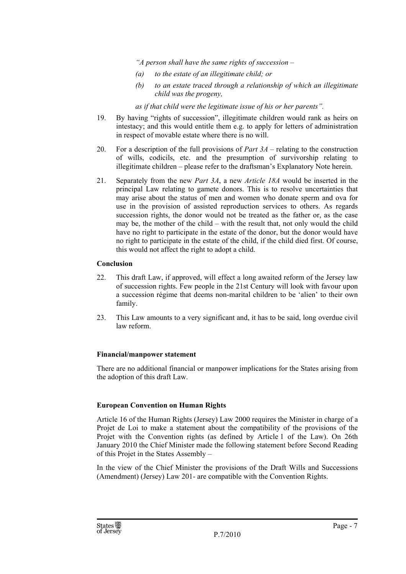*"A person shall have the same rights of succession –* 

- *(a) to the estate of an illegitimate child; or*
- *(b) to an estate traced through a relationship of which an illegitimate child was the progeny,*

*as if that child were the legitimate issue of his or her parents".* 

- 19. By having "rights of succession", illegitimate children would rank as heirs on intestacy; and this would entitle them e.g. to apply for letters of administration in respect of movable estate where there is no will.
- 20. For a description of the full provisions of *Part 3A* relating to the construction of wills, codicils, etc. and the presumption of survivorship relating to illegitimate children – please refer to the draftsman's Explanatory Note herein.
- 21. Separately from the new *Part 3A*, a new *Article 18A* would be inserted in the principal Law relating to gamete donors. This is to resolve uncertainties that may arise about the status of men and women who donate sperm and ova for use in the provision of assisted reproduction services to others. As regards succession rights, the donor would not be treated as the father or, as the case may be, the mother of the child – with the result that, not only would the child have no right to participate in the estate of the donor, but the donor would have no right to participate in the estate of the child, if the child died first. Of course, this would not affect the right to adopt a child.

### **Conclusion**

- 22. This draft Law, if approved, will effect a long awaited reform of the Jersey law of succession rights. Few people in the 21st Century will look with favour upon a succession régime that deems non-marital children to be 'alien' to their own family.
- 23. This Law amounts to a very significant and, it has to be said, long overdue civil law reform.

### **Financial/manpower statement**

There are no additional financial or manpower implications for the States arising from the adoption of this draft Law.

### **European Convention on Human Rights**

Article 16 of the Human Rights (Jersey) Law 2000 requires the Minister in charge of a Projet de Loi to make a statement about the compatibility of the provisions of the Projet with the Convention rights (as defined by Article 1 of the Law). On 26th January 2010 the Chief Minister made the following statement before Second Reading of this Projet in the States Assembly –

In the view of the Chief Minister the provisions of the Draft Wills and Successions (Amendment) (Jersey) Law 201- are compatible with the Convention Rights.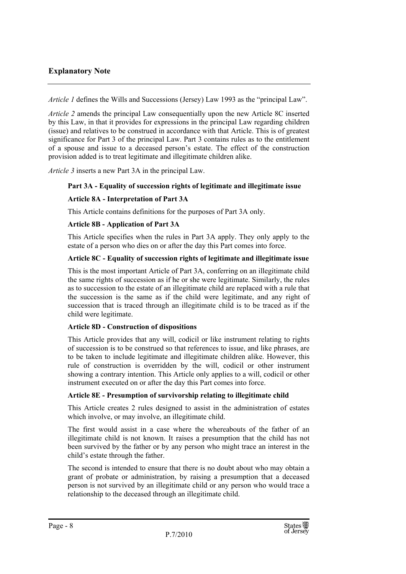### **Explanatory Note**

*Article 1* defines the Wills and Successions (Jersey) Law 1993 as the "principal Law".

*Article 2* amends the principal Law consequentially upon the new Article 8C inserted by this Law, in that it provides for expressions in the principal Law regarding children (issue) and relatives to be construed in accordance with that Article. This is of greatest significance for Part 3 of the principal Law. Part 3 contains rules as to the entitlement of a spouse and issue to a deceased person's estate. The effect of the construction provision added is to treat legitimate and illegitimate children alike.

*Article 3* inserts a new Part 3A in the principal Law.

### **Part 3A - Equality of succession rights of legitimate and illegitimate issue**

### **Article 8A - Interpretation of Part 3A**

This Article contains definitions for the purposes of Part 3A only.

### **Article 8B - Application of Part 3A**

This Article specifies when the rules in Part 3A apply. They only apply to the estate of a person who dies on or after the day this Part comes into force.

### **Article 8C - Equality of succession rights of legitimate and illegitimate issue**

This is the most important Article of Part 3A, conferring on an illegitimate child the same rights of succession as if he or she were legitimate. Similarly, the rules as to succession to the estate of an illegitimate child are replaced with a rule that the succession is the same as if the child were legitimate, and any right of succession that is traced through an illegitimate child is to be traced as if the child were legitimate.

### **Article 8D - Construction of dispositions**

This Article provides that any will, codicil or like instrument relating to rights of succession is to be construed so that references to issue, and like phrases, are to be taken to include legitimate and illegitimate children alike. However, this rule of construction is overridden by the will, codicil or other instrument showing a contrary intention. This Article only applies to a will, codicil or other instrument executed on or after the day this Part comes into force.

### **Article 8E - Presumption of survivorship relating to illegitimate child**

This Article creates 2 rules designed to assist in the administration of estates which involve, or may involve, an illegitimate child.

The first would assist in a case where the whereabouts of the father of an illegitimate child is not known. It raises a presumption that the child has not been survived by the father or by any person who might trace an interest in the child's estate through the father.

The second is intended to ensure that there is no doubt about who may obtain a grant of probate or administration, by raising a presumption that a deceased person is not survived by an illegitimate child or any person who would trace a relationship to the deceased through an illegitimate child.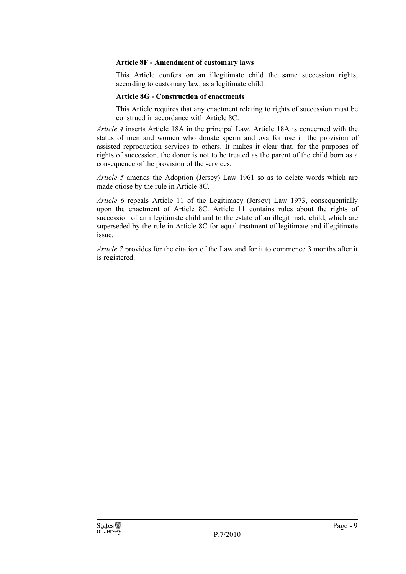### **Article 8F - Amendment of customary laws**

This Article confers on an illegitimate child the same succession rights, according to customary law, as a legitimate child.

### **Article 8G - Construction of enactments**

This Article requires that any enactment relating to rights of succession must be construed in accordance with Article 8C.

*Article 4* inserts Article 18A in the principal Law. Article 18A is concerned with the status of men and women who donate sperm and ova for use in the provision of assisted reproduction services to others. It makes it clear that, for the purposes of rights of succession, the donor is not to be treated as the parent of the child born as a consequence of the provision of the services.

*Article 5* amends the Adoption (Jersey) Law 1961 so as to delete words which are made otiose by the rule in Article 8C.

*Article 6* repeals Article 11 of the Legitimacy (Jersey) Law 1973, consequentially upon the enactment of Article 8C. Article 11 contains rules about the rights of succession of an illegitimate child and to the estate of an illegitimate child, which are superseded by the rule in Article 8C for equal treatment of legitimate and illegitimate issue.

*Article 7* provides for the citation of the Law and for it to commence 3 months after it is registered.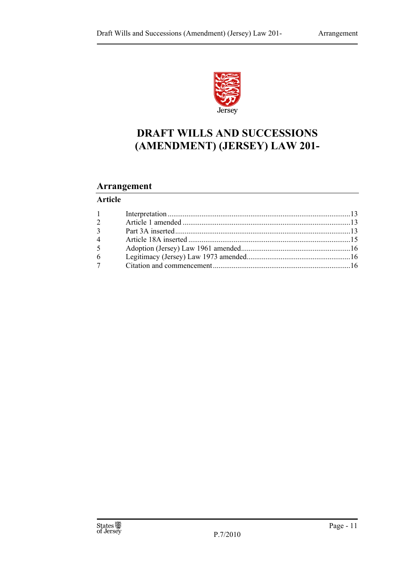

# **DRAFT WILLS AND SUCCESSIONS (AMENDMENT) (JERSEY) LAW 201-**

### **Arrangement**

### **Article**

| $1 \quad \blacksquare$ |  |
|------------------------|--|
| $\overline{2}$         |  |
| $\overline{3}$         |  |
| $\overline{4}$         |  |
| 5 <sup>5</sup>         |  |
| 6                      |  |
| 7 <sup>7</sup>         |  |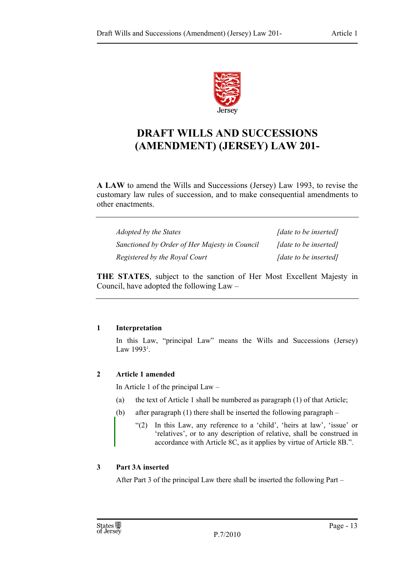

# **DRAFT WILLS AND SUCCESSIONS (AMENDMENT) (JERSEY) LAW 201-**

**A LAW** to amend the Wills and Successions (Jersey) Law 1993, to revise the customary law rules of succession, and to make consequential amendments to other enactments.

| <i>Adopted by the States</i>                  | [date to be inserted] |
|-----------------------------------------------|-----------------------|
| Sanctioned by Order of Her Majesty in Council | [date to be inserted] |
| Registered by the Royal Court                 | [date to be inserted] |

**THE STATES**, subject to the sanction of Her Most Excellent Majesty in Council, have adopted the following Law –

### **1 Interpretation**

In this Law, "principal Law" means the Wills and Successions (Jersey) Law 1993<sup>1</sup>.

### **2 Article 1 amended**

In Article 1 of the principal Law –

- (a) the text of Article 1 shall be numbered as paragraph (1) of that Article;
- (b) after paragraph (1) there shall be inserted the following paragraph
	- "(2) In this Law, any reference to a 'child', 'heirs at law', 'issue' or 'relatives', or to any description of relative, shall be construed in accordance with Article 8C, as it applies by virtue of Article 8B.".

### **3 Part 3A inserted**

After Part 3 of the principal Law there shall be inserted the following Part –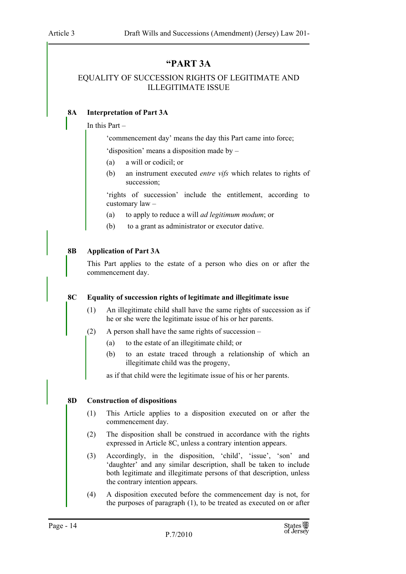### **"PART 3A**

### EQUALITY OF SUCCESSION RIGHTS OF LEGITIMATE AND ILLEGITIMATE ISSUE

### **8A Interpretation of Part 3A**

### In this Part –

'commencement day' means the day this Part came into force;

'disposition' means a disposition made by –

- (a) a will or codicil; or
- (b) an instrument executed *entre vifs* which relates to rights of succession;

'rights of succession' include the entitlement, according to customary law –

- (a) to apply to reduce a will *ad legitimum modum*; or
- (b) to a grant as administrator or executor dative.

### **8B Application of Part 3A**

This Part applies to the estate of a person who dies on or after the commencement day.

### **8C Equality of succession rights of legitimate and illegitimate issue**

- (1) An illegitimate child shall have the same rights of succession as if he or she were the legitimate issue of his or her parents.
- (2) A person shall have the same rights of succession
	- (a) to the estate of an illegitimate child; or
	- (b) to an estate traced through a relationship of which an illegitimate child was the progeny,

as if that child were the legitimate issue of his or her parents.

### **8D Construction of dispositions**

- (1) This Article applies to a disposition executed on or after the commencement day.
- (2) The disposition shall be construed in accordance with the rights expressed in Article 8C, unless a contrary intention appears.
- (3) Accordingly, in the disposition, 'child', 'issue', 'son' and 'daughter' and any similar description, shall be taken to include both legitimate and illegitimate persons of that description, unless the contrary intention appears.
- (4) A disposition executed before the commencement day is not, for the purposes of paragraph (1), to be treated as executed on or after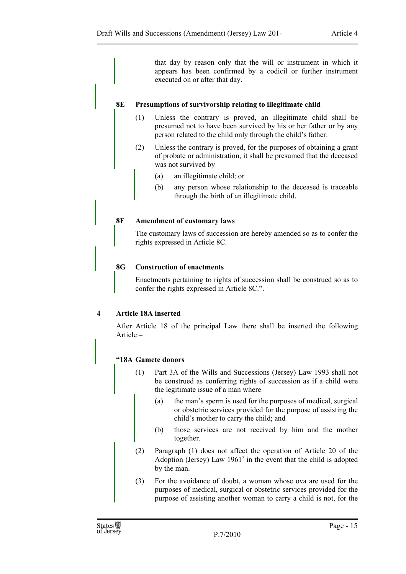that day by reason only that the will or instrument in which it appears has been confirmed by a codicil or further instrument executed on or after that day.

### **8E Presumptions of survivorship relating to illegitimate child**

- (1) Unless the contrary is proved, an illegitimate child shall be presumed not to have been survived by his or her father or by any person related to the child only through the child's father.
- (2) Unless the contrary is proved, for the purposes of obtaining a grant of probate or administration, it shall be presumed that the deceased was not survived by –
	- (a) an illegitimate child; or
	- (b) any person whose relationship to the deceased is traceable through the birth of an illegitimate child.

### **8F Amendment of customary laws**

The customary laws of succession are hereby amended so as to confer the rights expressed in Article 8C.

### **8G Construction of enactments**

Enactments pertaining to rights of succession shall be construed so as to confer the rights expressed in Article 8C.".

### **4 Article 18A inserted**

After Article 18 of the principal Law there shall be inserted the following Article –

### **"18A Gamete donors**

- (1) Part 3A of the Wills and Successions (Jersey) Law 1993 shall not be construed as conferring rights of succession as if a child were the legitimate issue of a man where –
	- (a) the man's sperm is used for the purposes of medical, surgical or obstetric services provided for the purpose of assisting the child's mother to carry the child; and
	- (b) those services are not received by him and the mother together.
- (2) Paragraph (1) does not affect the operation of Article 20 of the Adoption (Jersey) Law  $1961<sup>2</sup>$  in the event that the child is adopted by the man.
- (3) For the avoidance of doubt, a woman whose ova are used for the purposes of medical, surgical or obstetric services provided for the purpose of assisting another woman to carry a child is not, for the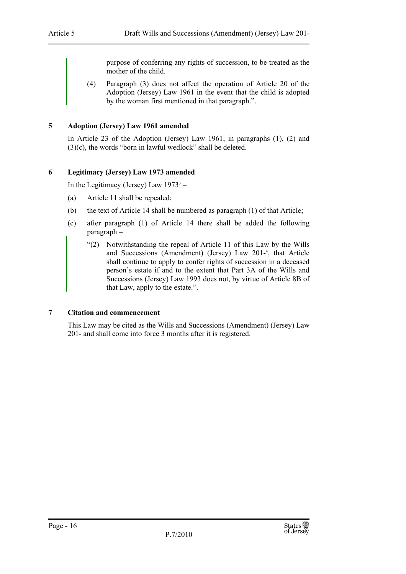purpose of conferring any rights of succession, to be treated as the mother of the child.

(4) Paragraph (3) does not affect the operation of Article 20 of the Adoption (Jersey) Law 1961 in the event that the child is adopted by the woman first mentioned in that paragraph.".

### **5 Adoption (Jersey) Law 1961 amended**

In Article 23 of the Adoption (Jersey) Law 1961, in paragraphs (1), (2) and (3)(c), the words "born in lawful wedlock" shall be deleted.

### **6 Legitimacy (Jersey) Law 1973 amended**

In the Legitimacy (Jersey) Law  $1973^3$  –

- (a) Article 11 shall be repealed;
- (b) the text of Article 14 shall be numbered as paragraph (1) of that Article;
- (c) after paragraph (1) of Article 14 there shall be added the following paragraph –
	- "(2) Notwithstanding the repeal of Article 11 of this Law by the Wills and Successions (Amendment) (Jersey) Law 201-4 , that Article shall continue to apply to confer rights of succession in a deceased person's estate if and to the extent that Part 3A of the Wills and Successions (Jersey) Law 1993 does not, by virtue of Article 8B of that Law, apply to the estate.".

### **7 Citation and commencement**

This Law may be cited as the Wills and Successions (Amendment) (Jersey) Law 201- and shall come into force 3 months after it is registered.